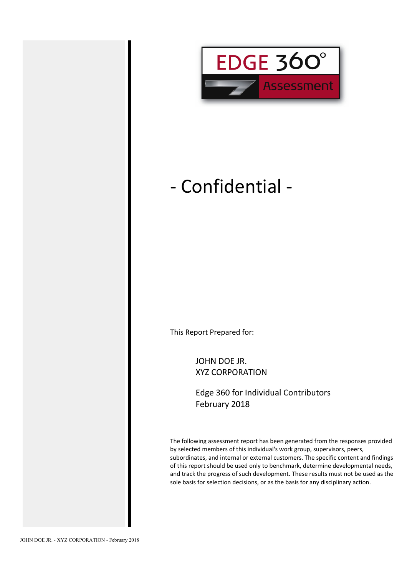

# - Confidential -

This Report Prepared for:

JOHN DOE JR. XYZ CORPORATION

Edge 360 for Individual Contributors February 2018

The following assessment report has been generated from the responses provided by selected members of this individual's work group, supervisors, peers, subordinates, and internal or external customers. The specific content and findings of this report should be used only to benchmark, determine developmental needs, and track the progress of such development. These results must not be used as the sole basis for selection decisions, or as the basis for any disciplinary action.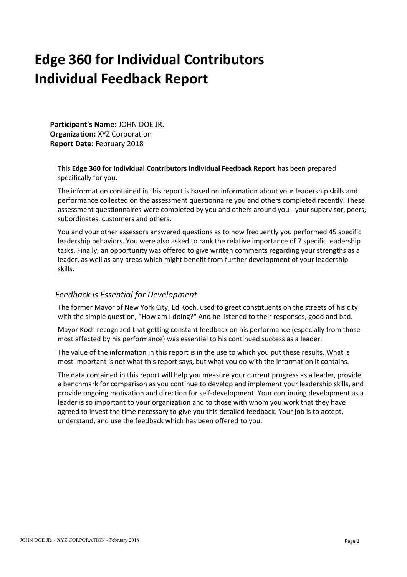# **Edge 360 for Individual Contributors Individual Feedback Report**

**Participant's Name:** JOHN DOE JR. **Organization:** XYZ Corporation **Report Date:** February 2018

This **Edge 360 for Individual Contributors Individual Feedback Report** has been prepared specifically for you.

The information contained in this report is based on information about your leadership skills and performance collected on the assessment questionnaire you and others completed recently. These assessment questionnaires were completed by you and others around you - your supervisor, peers, subordinates, customers and others.

You and your other assessors answered questions as to how frequently you performed 45 specific leadership behaviors. You were also asked to rank the relative importance of 7 specific leadership tasks. Finally, an opportunity was offered to give written comments regarding your strengths as a leader, as well as any areas which might benefit from further development of your leadership skills.

## *Feedback is Essential for Development*

The former Mayor of New York City, Ed Koch, used to greet constituents on the streets of his city with the simple question, "How am I doing?" And he listened to their responses, good and bad.

Mayor Koch recognized that getting constant feedback on his performance (especially from those most affected by his performance) was essential to his continued success as a leader.

The value of the information in this report is in the use to which you put these results. What is most important is not what this report says, but what you do with the information it contains.

The data contained in this report will help you measure your current progress as a leader, provide a benchmark for comparison as you continue to develop and implement your leadership skills, and provide ongoing motivation and direction for self-development. Your continuing development as a leader is so important to your organization and to those with whom you work that they have agreed to invest the time necessary to give you this detailed feedback. Your job is to accept, understand, and use the feedback which has been offered to you.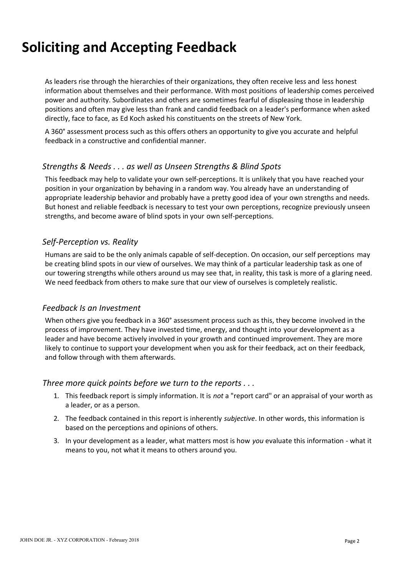# **Soliciting and Accepting Feedback**

As leaders rise through the hierarchies of their organizations, they often receive less and less honest information about themselves and their performance. With most positions of leadership comes perceived power and authority. Subordinates and others are sometimes fearful of displeasing those in leadership positions and often may give less than frank and candid feedback on a leader's performance when asked directly, face to face, as Ed Koch asked his constituents on the streets of New York.

A 360° assessment process such as this offers others an opportunity to give you accurate and helpful feedback in a constructive and confidential manner.

## *Strengths & Needs . . . as well as Unseen Strengths & Blind Spots*

This feedback may help to validate your own self-perceptions. It is unlikely that you have reached your position in your organization by behaving in a random way. You already have an understanding of appropriate leadership behavior and probably have a pretty good idea of your own strengths and needs. But honest and reliable feedback is necessary to test your own perceptions, recognize previously unseen strengths, and become aware of blind spots in your own self-perceptions.

## *Self-Perception vs. Reality*

Humans are said to be the only animals capable of self-deception. On occasion, our self perceptions may be creating blind spots in our view of ourselves. We may think of a particular leadership task as one of our towering strengths while others around us may see that, in reality, this task is more of a glaring need. We need feedback from others to make sure that our view of ourselves is completely realistic.

## *Feedback Is an Investment*

When others give you feedback in a 360° assessment process such as this, they become involved in the process of improvement. They have invested time, energy, and thought into your development as a leader and have become actively involved in your growth and continued improvement. They are more likely to continue to support your development when you ask for their feedback, act on their feedback, and follow through with them afterwards.

### *Three more quick points before we turn to the reports . . .*

- 1. This feedback report is simply information. It is *not* a "report card" or an appraisal of your worth as a leader, or as a person.
- 2. The feedback contained in this report is inherently *subjective*. In other words, this information is based on the perceptions and opinions of others.
- 3. In your development as a leader, what matters most is how *you* evaluate this information what it means to you, not what it means to others around you.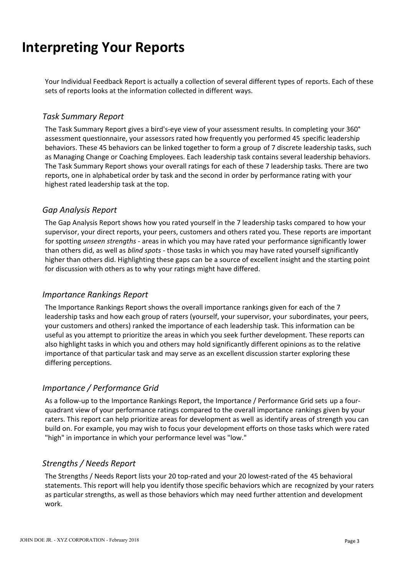# **Interpreting Your Reports**

Your Individual Feedback Report is actually a collection of several different types of reports. Each of these sets of reports looks at the information collected in different ways.

## *Task Summary Report*

The Task Summary Report gives a bird's-eye view of your assessment results. In completing your 360° assessment questionnaire, your assessors rated how frequently you performed 45 specific leadership behaviors. These 45 behaviors can be linked together to form a group of 7 discrete leadership tasks, such as Managing Change or Coaching Employees. Each leadership task contains several leadership behaviors. The Task Summary Report shows your overall ratings for each of these 7 leadership tasks. There are two reports, one in alphabetical order by task and the second in order by performance rating with your highest rated leadership task at the top.

## *Gap Analysis Report*

The Gap Analysis Report shows how you rated yourself in the 7 leadership tasks compared to how your supervisor, your direct reports, your peers, customers and others rated you. These reports are important for spotting *unseen strengths* - areas in which you may have rated your performance significantly lower than others did, as well as *blind spots* - those tasks in which you may have rated yourself significantly higher than others did. Highlighting these gaps can be a source of excellent insight and the starting point for discussion with others as to why your ratings might have differed.

## *Importance Rankings Report*

The Importance Rankings Report shows the overall importance rankings given for each of the 7 leadership tasks and how each group of raters (yourself, your supervisor, your subordinates, your peers, your customers and others) ranked the importance of each leadership task. This information can be useful as you attempt to prioritize the areas in which you seek further development. These reports can also highlight tasks in which you and others may hold significantly different opinions as to the relative importance of that particular task and may serve as an excellent discussion starter exploring these differing perceptions.

## *Importance / Performance Grid*

As a follow-up to the Importance Rankings Report, the Importance / Performance Grid sets up a fourquadrant view of your performance ratings compared to the overall importance rankings given by your raters. This report can help prioritize areas for development as well as identify areas of strength you can build on. For example, you may wish to focus your development efforts on those tasks which were rated "high" in importance in which your performance level was "low."

## *Strengths / Needs Report*

The Strengths / Needs Report lists your 20 top-rated and your 20 lowest-rated of the 45 behavioral statements. This report will help you identify those specific behaviors which are recognized by your raters as particular strengths, as well as those behaviors which may need further attention and development work.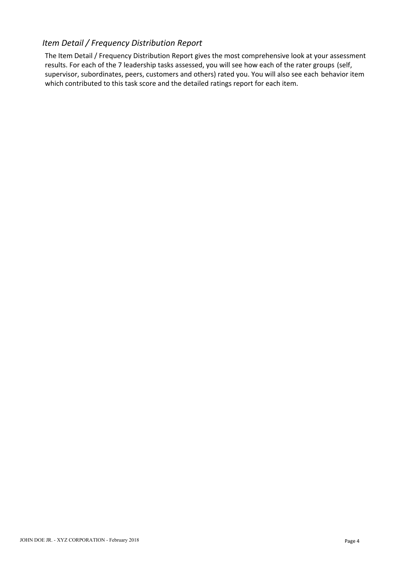## *Item Detail / Frequency Distribution Report*

The Item Detail / Frequency Distribution Report gives the most comprehensive look at your assessment results. For each of the 7 leadership tasks assessed, you will see how each of the rater groups (self, supervisor, subordinates, peers, customers and others) rated you. You will also see each behavior item which contributed to this task score and the detailed ratings report for each item.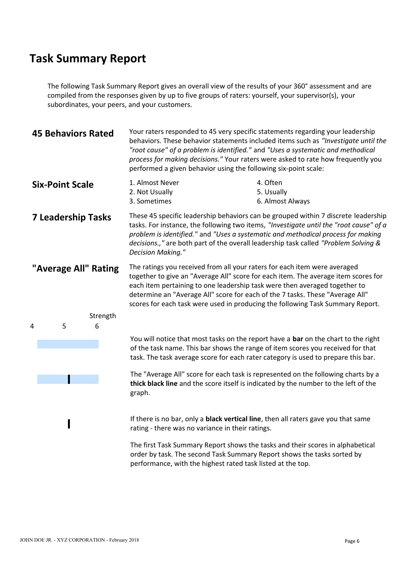The following Task Summary Report gives an overall view of the results of your 360° assessment and are compiled from the responses given by up to five groups of raters: yourself, your supervisor(s), your subordinates, your peers, and your customers.

| <b>45 Behaviors Rated</b> |               |                                                   | Your raters responded to 45 very specific statements regarding your leadership<br>behaviors. These behavior statements included items such as "Investigate until the<br>"root cause" of a problem is identified." and "Uses a systematic and methodical<br>process for making decisions." Your raters were asked to rate how frequently you<br>performed a given behavior using the following six-point scale:   |  |
|---------------------------|---------------|---------------------------------------------------|------------------------------------------------------------------------------------------------------------------------------------------------------------------------------------------------------------------------------------------------------------------------------------------------------------------------------------------------------------------------------------------------------------------|--|
| <b>Six-Point Scale</b>    |               | 1. Almost Never<br>2. Not Usually<br>3. Sometimes | 4. Often<br>5. Usually<br>6. Almost Always                                                                                                                                                                                                                                                                                                                                                                       |  |
| <b>7 Leadership Tasks</b> |               | <b>Decision Making."</b>                          | These 45 specific leadership behaviors can be grouped within 7 discrete leadership<br>tasks. For instance, the following two items, "Investigate until the "root cause" of a<br>problem is identified." and "Uses a systematic and methodical process for making<br>decisions.," are both part of the overall leadership task called "Problem Solving &                                                          |  |
| "Average All" Rating      |               |                                                   | The ratings you received from all your raters for each item were averaged<br>together to give an "Average All" score for each item. The average item scores for<br>each item pertaining to one leadership task were then averaged together to<br>determine an "Average All" score for each of the 7 tasks. These "Average All"<br>scores for each task were used in producing the following Task Summary Report. |  |
| 5                         | Strength<br>6 |                                                   |                                                                                                                                                                                                                                                                                                                                                                                                                  |  |
|                           |               |                                                   | You will notice that most tasks on the report have a bar on the chart to the right<br>of the task name. This bar shows the range of item scores you received for that<br>task. The task average score for each rater category is used to prepare this bar.                                                                                                                                                       |  |
|                           |               | graph.                                            | The "Average All" score for each task is represented on the following charts by a<br>thick black line and the score itself is indicated by the number to the left of the                                                                                                                                                                                                                                         |  |
|                           |               | rating - there was no variance in their ratings.  | If there is no bar, only a <b>black vertical line</b> , then all raters gave you that same                                                                                                                                                                                                                                                                                                                       |  |
|                           |               |                                                   | The first Task Summary Report shows the tasks and their scores in alphabetical<br>order by task. The second Task Summary Report shows the tasks sorted by                                                                                                                                                                                                                                                        |  |

performance, with the highest rated task listed at the top.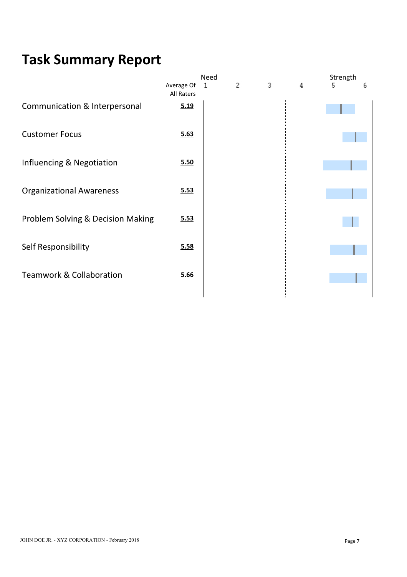| 2<br>Average Of<br>3<br>1<br>4<br>5.<br>ь<br>All Raters<br>5.19<br>5.63<br>5.50<br>5.53<br>5.53<br>5.58<br>5.66 |                                     | Need |  | Strength |  |
|-----------------------------------------------------------------------------------------------------------------|-------------------------------------|------|--|----------|--|
|                                                                                                                 |                                     |      |  |          |  |
|                                                                                                                 | Communication & Interpersonal       |      |  |          |  |
|                                                                                                                 | <b>Customer Focus</b>               |      |  |          |  |
|                                                                                                                 | Influencing & Negotiation           |      |  |          |  |
|                                                                                                                 | <b>Organizational Awareness</b>     |      |  |          |  |
|                                                                                                                 | Problem Solving & Decision Making   |      |  |          |  |
|                                                                                                                 | Self Responsibility                 |      |  |          |  |
|                                                                                                                 | <b>Teamwork &amp; Collaboration</b> |      |  |          |  |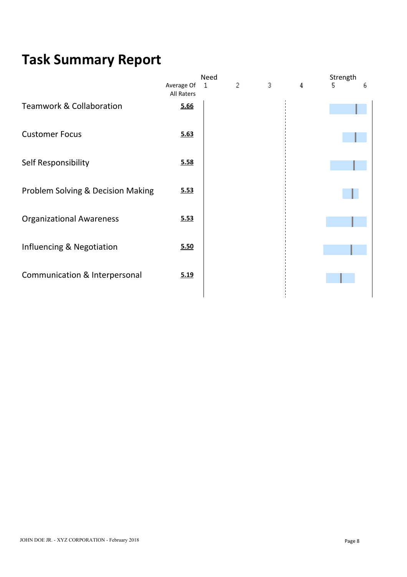| 2<br>Average Of<br>3<br>1<br>4<br>5.<br>ь<br>All Raters<br>5.66<br>5.63<br>5.58<br>5.53<br>5.53<br>5.50<br>5.19 |                                     | Need |  | Strength |  |
|-----------------------------------------------------------------------------------------------------------------|-------------------------------------|------|--|----------|--|
|                                                                                                                 |                                     |      |  |          |  |
|                                                                                                                 | <b>Teamwork &amp; Collaboration</b> |      |  |          |  |
|                                                                                                                 | <b>Customer Focus</b>               |      |  |          |  |
|                                                                                                                 | Self Responsibility                 |      |  |          |  |
|                                                                                                                 | Problem Solving & Decision Making   |      |  |          |  |
|                                                                                                                 | <b>Organizational Awareness</b>     |      |  |          |  |
|                                                                                                                 | Influencing & Negotiation           |      |  |          |  |
|                                                                                                                 | Communication & Interpersonal       |      |  |          |  |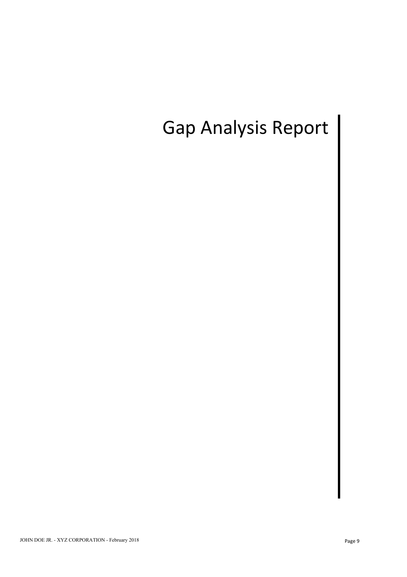# Gap Analysis Report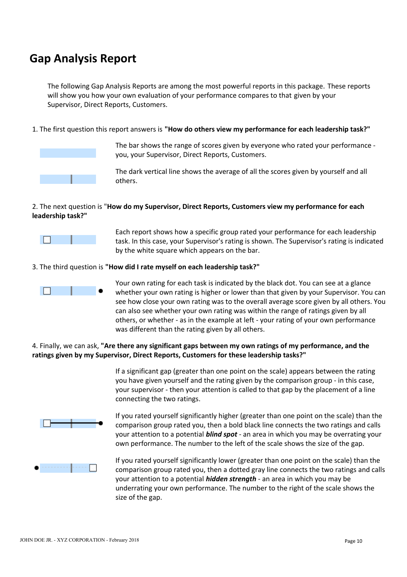## **Gap Analysis Report**

The following Gap Analysis Reports are among the most powerful reports in this package. These reports will show you how your own evaluation of your performance compares to that given by your Supervisor, Direct Reports, Customers.

1. The first question this report answers is **"How do others view my performance for each leadership task?"**



The bar shows the range of scores given by everyone who rated your performance you, your Supervisor, Direct Reports, Customers.

The dark vertical line shows the average of all the scores given by yourself and all others.

### 2. The next question is "**How do my Supervisor, Direct Reports, Customers view my performance for each leadership task?"**



Each report shows how a specific group rated your performance for each leadership task. In this case, your Supervisor's rating is shown. The Supervisor's rating is indicated by the white square which appears on the bar.

#### 3. The third question is **"How did I rate myself on each leadership task?"**



Your own rating for each task is indicated by the black dot. You can see at a glance whether your own rating is higher or lower than that given by your Supervisor. You can see how close your own rating was to the overall average score given by all others. You can also see whether your own rating was within the range of ratings given by all others, or whether - as in the example at left - your rating of your own performance was different than the rating given by all others.

### 4. Finally, we can ask, **"Are there any significant gaps between my own ratings of my performance, and the ratings given by my Supervisor, Direct Reports, Customers for these leadership tasks?"**

If a significant gap (greater than one point on the scale) appears between the rating you have given yourself and the rating given by the comparison group - in this case, your supervisor - then your attention is called to that gap by the placement of a line connecting the two ratings.



If you rated yourself significantly higher (greater than one point on the scale) than the comparison group rated you, then a bold black line connects the two ratings and calls your attention to a potential *blind spot* - an area in which you may be overrating your own performance. The number to the left of the scale shows the size of the gap.



If you rated yourself significantly lower (greater than one point on the scale) than the comparison group rated you, then a dotted gray line connects the two ratings and calls your attention to a potential *hidden strength* - an area in which you may be underrating your own performance. The number to the right of the scale shows the size of the gap.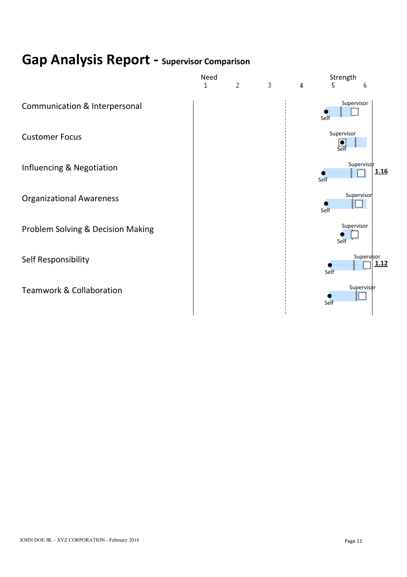# **Gap Analysis Report - Supervisor Comparison**

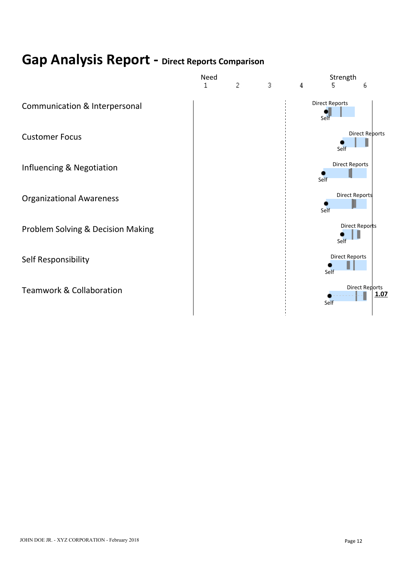# **Gap Analysis Report - Direct Reports Comparison**

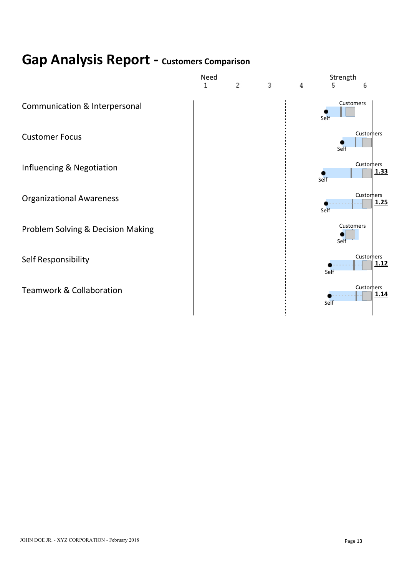# **Gap Analysis Report - Customers Comparison**

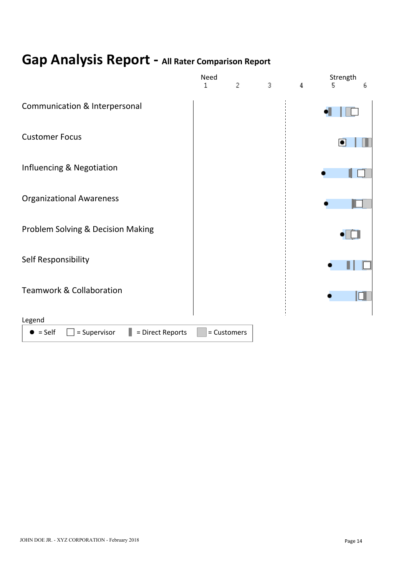# **Gap Analysis Report - All Rater Comparison Report**

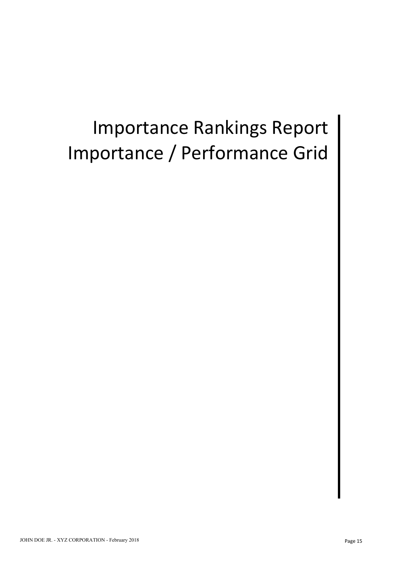# Importance Rankings Report Importance / Performance Grid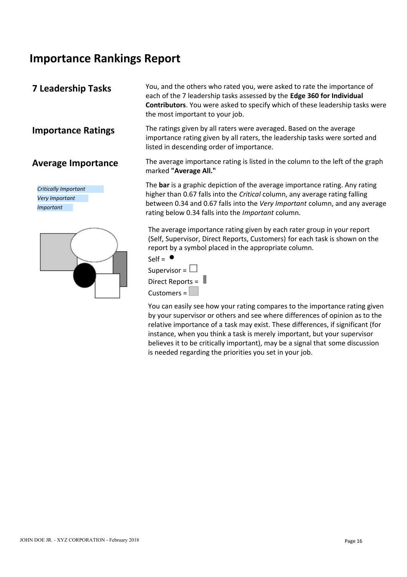## **Importance Rankings Report**

*Critically Important Very Important Important*



**7 Leadership Tasks** You, and the others who rated you, were asked to rate the importance of each of the 7 leadership tasks assessed by the **Edge 360 for Individual Contributors**. You were asked to specify which of these leadership tasks were the most important to your job.

**Importance Ratings** The ratings given by all raters were averaged. Based on the average importance rating given by all raters, the leadership tasks were sorted and listed in descending order of importance.

**Average Importance** The average importance rating is listed in the column to the left of the graph marked **"Average All."**

> The **bar** is a graphic depiction of the average importance rating. Any rating higher than 0.67 falls into the *Critical* column, any average rating falling between 0.34 and 0.67 falls into the *Very Important* column, and any average rating below 0.34 falls into the *Important* column.

The average importance rating given by each rater group in your report (Self, Supervisor, Direct Reports, Customers) for each task is shown on the report by a symbol placed in the appropriate column.



You can easily see how your rating compares to the importance rating given by your supervisor or others and see where differences of opinion as to the relative importance of a task may exist. These differences, if significant (for instance, when you think a task is merely important, but your supervisor believes it to be critically important), may be a signal that some discussion is needed regarding the priorities you set in your job.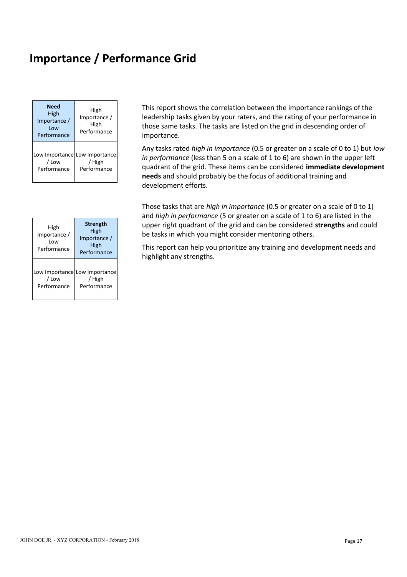## **Importance / Performance Grid**

| <b>Need</b><br><b>High</b><br>Importance /<br>Low<br>Performance | High<br>Importance /<br>High<br>Performance            | This report shows t<br>leadership tasks giv<br>those same tasks. T<br>importance.        |
|------------------------------------------------------------------|--------------------------------------------------------|------------------------------------------------------------------------------------------|
| / Low<br>Performance                                             | Low Importance Low Importance<br>/ High<br>Performance | Any tasks rated hig<br>in performance (les<br>quadrant of the grid<br>needs and should p |

|                                            |                                                                | and <i>man in performance</i> to be given                                                                                               |
|--------------------------------------------|----------------------------------------------------------------|-----------------------------------------------------------------------------------------------------------------------------------------|
| High<br>Importance /<br>Low<br>Performance | <b>Strength</b><br>High<br>Importance /<br>High<br>Performance | upper right quadrant of the grid<br>be tasks in which you might cons<br>This report can help you prioritize<br>highlight any strengths. |
| / Low<br>Performance                       | Low Importance Low Importance<br><b>High</b><br>Performance    |                                                                                                                                         |

**Need** High **High** This report shows the correlation between the importance rankings of the High | Importance / | leadership tasks given by your raters, and the rating of your performance in High High those same tasks. The tasks are listed on the grid in descending order of Performance Performance **importance**.

 $\frac{1}{2}$  / High  $\frac{1}{2}$  / High  $\frac{1}{2}$  / High  $\frac{1}{2}$  /  $\frac{1}{2}$  /  $\frac{1}{2}$  /  $\frac{1}{2}$  /  $\frac{1}{2}$  /  $\frac{1}{2}$  /  $\frac{1}{2}$  /  $\frac{1}{2}$  /  $\frac{1}{2}$  /  $\frac{1}{2}$  /  $\frac{1}{2}$  /  $\frac{1}{2}$  /  $\frac{1}{2}$  /  $\frac{1}{2}$  /  $\$ Performance Performance quadrant of the grid. These items can be considered **immediate development** Low Importance  $\begin{bmatrix} 1 & 1 \\ 0 & 1 \end{bmatrix}$  in performance (loss than 5 on a) / High *in performance* (less than 5 on a scale of 1 to 6) are shown in the upper left Any tasks rated *high in importance* (0.5 or greater on a scale of 0 to 1) but *low* **needs** and should probably be the focus of additional training and development efforts.

High
labress and could
ing the strength
ingh
and could
ingh
the grid and can be considered **strengths** and could  $\frac{m_{\text{min}}}{m_{\text{postness}}}$  High be tasks in which you might co  $\frac{H_{\text{IBD}}}{H_{\text{SD}}}\left| \right|$  be tasks in which you might consider mentoring others. Those tasks that are *high in importance* (0.5 or greater on a scale of 0 to 1) and *high in performance* (5 or greater on a scale of 1 to 6) are listed in the

Performance High High This report can help you prioritize any training and development needs and Performance highlight any strengths.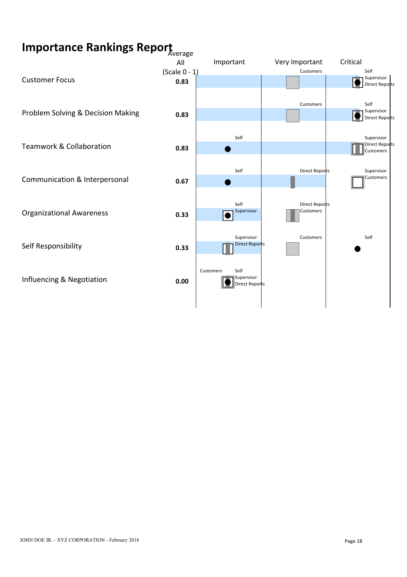# **Importance Rankings Report** Average

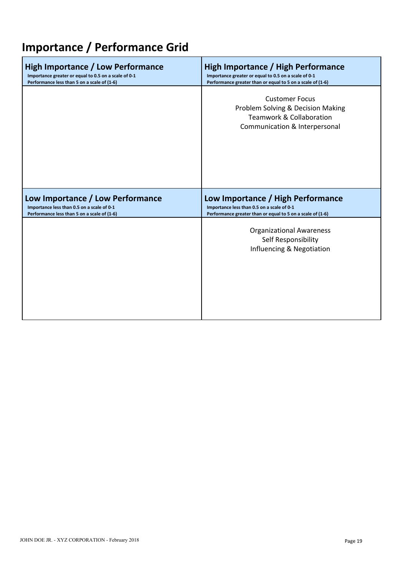# **Importance / Performance Grid**

| High Importance / Low Performance                    | <b>High Importance / High Performance</b>                                                                                          |
|------------------------------------------------------|------------------------------------------------------------------------------------------------------------------------------------|
| Importance greater or equal to 0.5 on a scale of 0-1 | Importance greater or equal to 0.5 on a scale of 0-1                                                                               |
| Performance less than 5 on a scale of (1-6)          | Performance greater than or equal to 5 on a scale of (1-6)                                                                         |
|                                                      | <b>Customer Focus</b><br>Problem Solving & Decision Making<br><b>Teamwork &amp; Collaboration</b><br>Communication & Interpersonal |
| Low Importance / Low Performance                     | Low Importance / High Performance                                                                                                  |
| Importance less than 0.5 on a scale of 0-1           | Importance less than 0.5 on a scale of 0-1                                                                                         |
| Performance less than 5 on a scale of (1-6)          | Performance greater than or equal to 5 on a scale of (1-6)                                                                         |
|                                                      | <b>Organizational Awareness</b><br>Self Responsibility<br>Influencing & Negotiation                                                |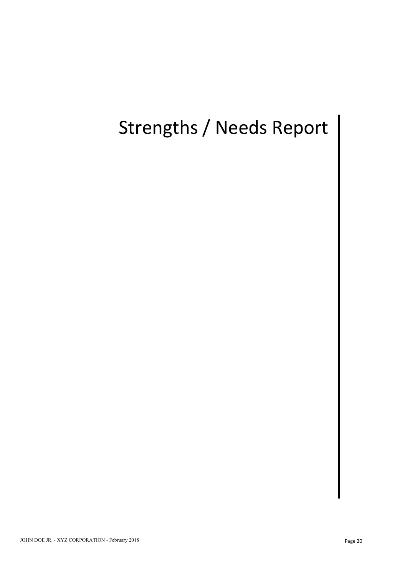# Strengths / Needs Report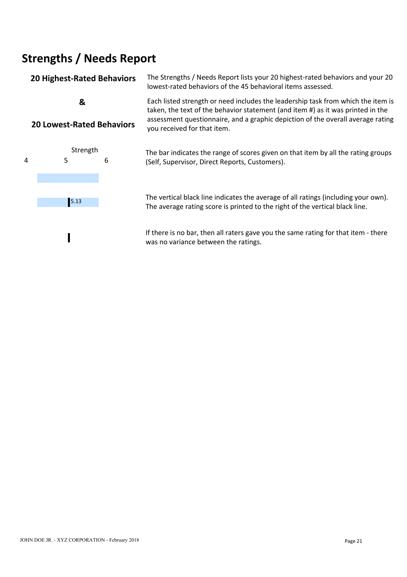# **Strengths / Needs Report**

## **20 Highest-Rated Behaviors** The Strengths / Needs Report lists your 20 highest-rated behaviors and your 20 lowest-rated behaviors of the 45 behavioral items assessed. **&**  Each listed strength or need includes the leadership task from which the item is **20 Lowest-Rated Behaviors** taken, the text of the behavior statement (and item #) as it was printed in the assessment questionnaire, and a graphic depiction of the overall average rating you received for that item.



Strength The bar indicates the range of scores given on that item by all the rating groups<br>5 6 (Self Supervisor Direct Reports Customers) (Self, Supervisor, Direct Reports, Customers). 4 5 6

> The vertical black line indicates the average of all ratings (including your own). 5.13 The average rating score is printed to the right of the vertical black line.

> > If there is no bar, then all raters gave you the same rating for that item - there was no variance between the ratings.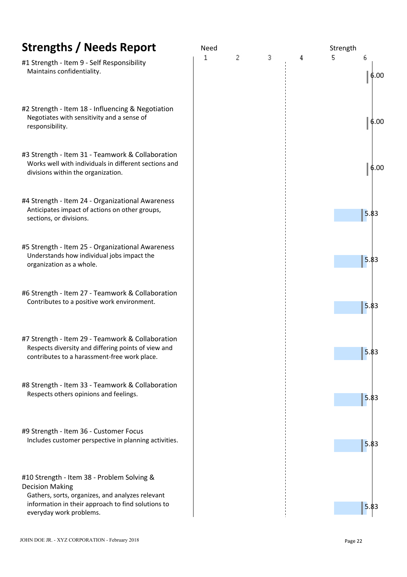| <b>Strengths / Needs Report</b>                                                                                                                         | Need |   |   |   | Strength |         |
|---------------------------------------------------------------------------------------------------------------------------------------------------------|------|---|---|---|----------|---------|
| #1 Strength - Item 9 - Self Responsibility<br>Maintains confidentiality.                                                                                | 1    | 2 | 3 | 4 | 5.       | 6       |
| #2 Strength - Item 18 - Influencing & Negotiation<br>Negotiates with sensitivity and a sense of<br>responsibility.                                      |      |   |   |   |          |         |
| #3 Strength - Item 31 - Teamwork & Collaboration<br>Works well with individuals in different sections and<br>divisions within the organization.         |      |   |   |   |          |         |
| #4 Strength - Item 24 - Organizational Awareness<br>Anticipates impact of actions on other groups,<br>sections, or divisions.                           |      |   |   |   |          | $5.\xi$ |
| #5 Strength - Item 25 - Organizational Awareness<br>Understands how individual jobs impact the<br>organization as a whole.                              |      |   |   |   |          | 5.8     |
| #6 Strength - Item 27 - Teamwork & Collaboration<br>Contributes to a positive work environment.                                                         |      |   |   |   |          | 5.8     |
| #7 Strength - Item 29 - Teamwork & Collaboration<br>Respects diversity and differing points of view and<br>contributes to a harassment-free work place. |      |   |   |   |          | $5.\xi$ |
| #8 Strength - Item 33 - Teamwork & Collaboration<br>Respects others opinions and feelings.                                                              |      |   |   |   |          | 5.8     |
| #9 Strength - Item 36 - Customer Focus<br>Includes customer perspective in planning activities.                                                         |      |   |   |   |          | 5.8     |
| #10 Strength - Item 38 - Problem Solving &<br><b>Decision Making</b>                                                                                    |      |   |   |   |          |         |

Gathers, sorts, organizes, and analyzes relevant information in their approach to find solutions to<br>
everyday work problems. everyday work problems.

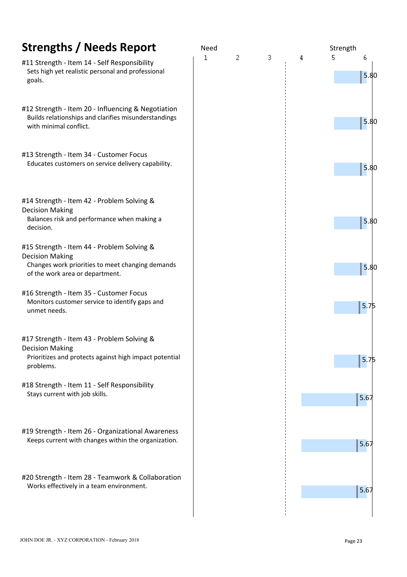| <b>Strengths / Needs Report</b>                                                                                                                             | Need |   |   |   | Strength         |
|-------------------------------------------------------------------------------------------------------------------------------------------------------------|------|---|---|---|------------------|
| #11 Strength - Item 14 - Self Responsibility<br>Sets high yet realistic personal and professional<br>goals.                                                 | 1    | 2 | 3 | 4 | 5<br>6<br>5.8    |
| #12 Strength - Item 20 - Influencing & Negotiation<br>Builds relationships and clarifies misunderstandings<br>with minimal conflict.                        |      |   |   |   | 5.8              |
| #13 Strength - Item 34 - Customer Focus<br>Educates customers on service delivery capability.                                                               |      |   |   |   | 5.8              |
| #14 Strength - Item 42 - Problem Solving &<br><b>Decision Making</b><br>Balances risk and performance when making a<br>decision.                            |      |   |   |   | 5.8              |
| #15 Strength - Item 44 - Problem Solving &<br><b>Decision Making</b><br>Changes work priorities to meet changing demands<br>of the work area or department. |      |   |   |   | 5.8              |
| #16 Strength - Item 35 - Customer Focus<br>Monitors customer service to identify gaps and<br>unmet needs.                                                   |      |   |   |   | 5.7 <sub>l</sub> |
| #17 Strength - Item 43 - Problem Solving &<br><b>Decision Making</b><br>Prioritizes and protects against high impact potential<br>problems.                 |      |   |   |   | 5.7              |
| #18 Strength - Item 11 - Self Responsibility<br>Stays current with job skills.                                                                              |      |   |   |   | 5.67             |
| #19 Strength - Item 26 - Organizational Awareness<br>Keeps current with changes within the organization.                                                    |      |   |   |   | 5.67             |
| #20 Strength - Item 28 - Teamwork & Collaboration                                                                                                           |      |   |   |   |                  |
| Works effectively in a team environment.                                                                                                                    |      |   |   |   | 5.67             |

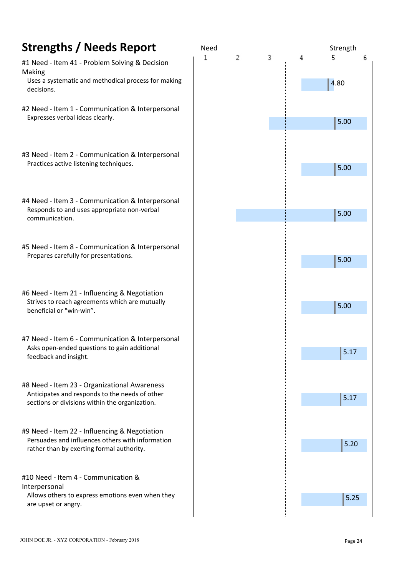- #1 Need Item 41 Problem Solving & Decision Making
- Uses a systematic and methodical process for making decisions.
- #2 Need Item 1 Communication & Interpersonal Expresses verbal ideas clearly.
- #3 Need Item 2 Communication & Interpersonal Practices active listening techniques.
- #4 Need Item 3 Communication & Interpersonal Responds to and uses appropriate non-verbal communication.
- #5 Need Item 8 Communication & Interpersonal Prepares carefully for presentations.
- #6 Need Item 21 Influencing & Negotiation Strives to reach agreements which are mutually beneficial or "win-win".
- #7 Need Item 6 Communication & Interpersonal Asks open-ended questions to gain additional feedback and insight.
- #8 Need Item 23 Organizational Awareness Anticipates and responds to the needs of other sections or divisions within the organization.
- #9 Need Item 22 Influencing & Negotiation Persuades and influences others with information rather than by exerting formal authority.
- #10 Need Item 4 Communication & Interpersonal Allows others to express emotions even when they are upset or angry.

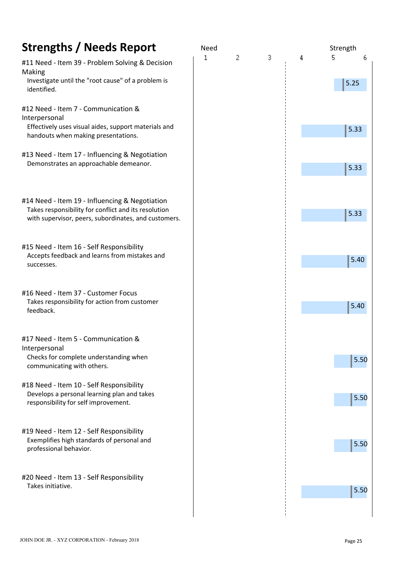| <b>Strengths / Needs Report</b>                                                                                                                                | Need |   |   |   | Strength       |  |
|----------------------------------------------------------------------------------------------------------------------------------------------------------------|------|---|---|---|----------------|--|
| #11 Need - Item 39 - Problem Solving & Decision<br>Making<br>Investigate until the "root cause" of a problem is<br>identified.                                 | 1    | 2 | 3 | 4 | 5<br>6<br>5.25 |  |
| #12 Need - Item 7 - Communication &<br>Interpersonal<br>Effectively uses visual aides, support materials and<br>handouts when making presentations.            |      |   |   |   | 5.33           |  |
| #13 Need - Item 17 - Influencing & Negotiation<br>Demonstrates an approachable demeanor.                                                                       |      |   |   |   | 5.33           |  |
| #14 Need - Item 19 - Influencing & Negotiation<br>Takes responsibility for conflict and its resolution<br>with supervisor, peers, subordinates, and customers. |      |   |   |   | 5.33           |  |
| #15 Need - Item 16 - Self Responsibility<br>Accepts feedback and learns from mistakes and<br>successes.                                                        |      |   |   |   | 5.40           |  |
| #16 Need - Item 37 - Customer Focus<br>Takes responsibility for action from customer<br>feedback.                                                              |      |   |   |   | 5.40           |  |
| #17 Need - Item 5 - Communication &<br>Interpersonal<br>Checks for complete understanding when<br>communicating with others.                                   |      |   |   |   | 5.50           |  |
| #18 Need - Item 10 - Self Responsibility<br>Develops a personal learning plan and takes<br>responsibility for self improvement.                                |      |   |   |   | 5.50           |  |
| #19 Need - Item 12 - Self Responsibility<br>Exemplifies high standards of personal and<br>professional behavior.                                               |      |   |   |   | 5.50           |  |
| #20 Need - Item 13 - Self Responsibility<br>Takes initiative.                                                                                                  |      |   |   |   | 5.50           |  |
|                                                                                                                                                                |      |   |   |   |                |  |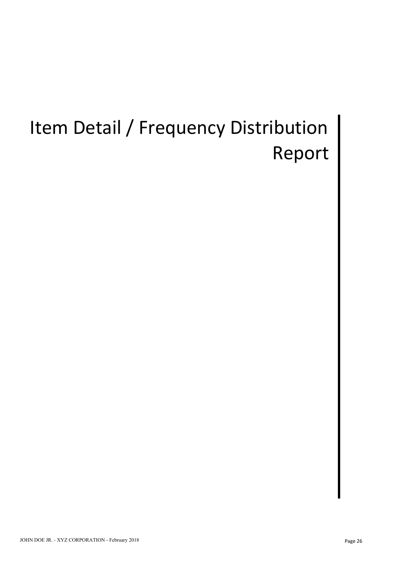# Item Detail / Frequency Distribution | Report |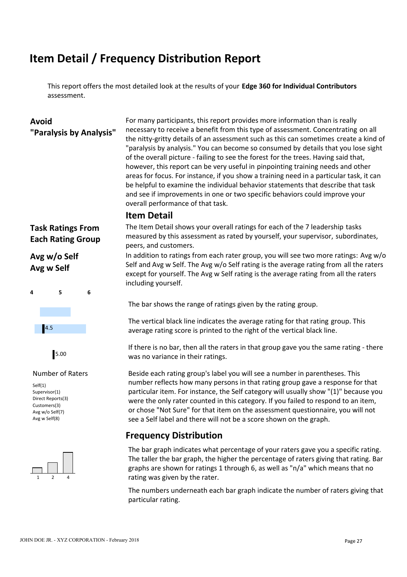# **Item Detail / Frequency Distribution Report**

This report offers the most detailed look at the results of your **Edge 360 for Individual Contributors** assessment.

**Avoid** For many participants, this report provides more information than is really **"Paralysis by Analysis"** necessary to receive a benefit from this type of assessment. Concentrating on all the nitty-gritty details of an assessment such as this can sometimes create a kind of "paralysis by analysis." You can become so consumed by details that you lose sight of the overall picture - failing to see the forest for the trees. Having said that, however, this report can be very useful in pinpointing training needs and other areas for focus. For instance, if you show a training need in a particular task, it can be helpful to examine the individual behavior statements that describe that task and see if improvements in one or two specific behaviors could improve your overall performance of that task.

### **Item Detail**

# **Avg w Self**



Self(1) Supervisor(1) Direct Reports(3) Customers(3) Avg w/o Self(7) Avg w Self(8)



**Task Ratings From** The Item Detail shows your overall ratings for each of the 7 leadership tasks **Each Rating Group** measured by this assessment as rated by yourself, your supervisor, subordinates, peers, and customers.

**Avg w/o Self** In addition to ratings from each rater group, you will see two more ratings: Avg w/o Self and Avg w Self. The Avg w/o Self rating is the average rating from all the raters except for yourself. The Avg w Self rating is the average rating from all the raters including yourself.

The bar shows the range of ratings given by the rating group.

The vertical black line indicates the average rating for that rating group. This average rating score is printed to the right of the vertical black line. 4.5

If there is no bar, then all the raters in that group gave you the same rating - there was no variance in their ratings. 5.00

Number of Raters Beside each rating group's label you will see a number in parentheses. This number reflects how many persons in that rating group gave a response for that particular item. For instance, the Self category will usually show "(1)" because you were the only rater counted in this category. If you failed to respond to an item, or chose "Not Sure" for that item on the assessment questionnaire, you will not see a Self label and there will not be a score shown on the graph.

## **Frequency Distribution**

1 2 4 rating was given by the rater. The bar graph indicates what percentage of your raters gave you a specific rating. The taller the bar graph, the higher the percentage of raters giving that rating. Bar graphs are shown for ratings 1 through 6, as well as "n/a" which means that no

> The numbers underneath each bar graph indicate the number of raters giving that particular rating.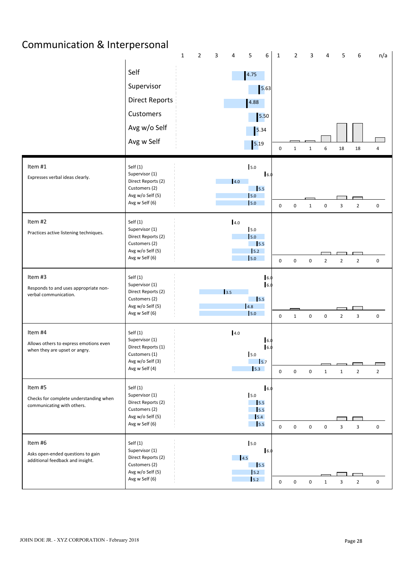# Communication & Interpersonal

|                                                                                    |                                                                                                         | $\mathbf{1}$ | $\overline{2}$ | 3           | 4                  | 5                                                                | 6          | $\mathbf{1}$ | $\overline{2}$ | 3                | 4              | 5              | 6              | n/a            |  |
|------------------------------------------------------------------------------------|---------------------------------------------------------------------------------------------------------|--------------|----------------|-------------|--------------------|------------------------------------------------------------------|------------|--------------|----------------|------------------|----------------|----------------|----------------|----------------|--|
|                                                                                    | Self<br>Supervisor<br><b>Direct Reports</b><br>Customers<br>Avg w/o Self<br>Avg w Self                  |              |                |             |                    | 4.75<br>4.88<br>5.50<br>5.34<br>$\boxed{5.19}$                   | 5.63       | $\mathbf 0$  | 1              | $\mathbf{1}$     | 6              | 18             | 18             | 4              |  |
| Item #1<br>Expresses verbal ideas clearly.                                         | Self(1)<br>Supervisor (1)<br>Direct Reports (2)<br>Customers (2)<br>Avg w/o Self (5)<br>Avg w Self (6)  |              |                |             | 4.0                | 5.0<br>$\frac{1}{5.5}$<br>5.0<br>5.0                             | 16.0       | $\mathbf 0$  | $\mathbf 0$    | $\mathbf{1}$     | $\pmb{0}$      | 3              | $\overline{2}$ | $\mathbf 0$    |  |
| Item #2<br>Practices active listening techniques.                                  | Self(1)<br>Supervisor (1)<br>Direct Reports (2)<br>Customers (2)<br>Avg w/o Self (5)<br>Avg w Self (6)  |              |                |             | 4.0                | 5.0<br>5.0<br>$\overline{\phantom{0}}$ 5.5<br>$\vert$ 5.2<br>5.0 |            | $\mathbf 0$  | $\mathbf 0$    | $\mathsf 0$      | $\overline{2}$ | $\overline{2}$ | $\overline{2}$ | $\mathbf 0$    |  |
| Item #3<br>Responds to and uses appropriate non-<br>verbal communication.          | Self (1)<br>Supervisor (1)<br>Direct Reports (2)<br>Customers (2)<br>Avg w/o Self (5)<br>Avg w Self (6) |              |                | $\vert$ 3.5 |                    | $\frac{1}{5.5}$<br>4.8<br>5.0                                    | 6.0<br>6.0 | $\mathbf 0$  | $\mathbf{1}$   | $\mathbf 0$      | $\pmb{0}$      | $\overline{2}$ | 3              | $\mathbf 0$    |  |
| Item #4<br>Allows others to express emotions even<br>when they are upset or angry. | Self (1)<br>Supervisor (1)<br>Direct Reports (1)<br>Customers (1)<br>Avg w/o Self (3)<br>Avg w Self (4) |              |                |             | 4.0                | 5.0<br>5.7<br>5.3                                                | 6.1<br>6.  | $\mathbf 0$  | $\mathbf 0$    | $\pmb{0}$        | 1              | 1              | $\overline{2}$ | $\overline{2}$ |  |
| Item #5<br>Checks for complete understanding when<br>communicating with others.    | Self (1)<br>Supervisor (1)<br>Direct Reports (2)<br>Customers (2)<br>Avg w/o Self (5)<br>Avg w Self (6) |              |                |             |                    | 5.0<br>$\vert$ 5.5<br>15.5<br>$\vert$ 5.4<br>$\vert$ 5.5         | 16.0       | $\mathbf 0$  | $\mathsf 0$    | $\boldsymbol{0}$ | $\mathbf 0$    | $\overline{3}$ | $\overline{3}$ | $\mathbf 0$    |  |
| Item #6<br>Asks open-ended questions to gain<br>additional feedback and insight.   | Self (1)<br>Supervisor (1)<br>Direct Reports (2)<br>Customers (2)<br>Avg w/o Self (5)<br>Avg w Self (6) |              |                |             | $\blacksquare$ 4.5 | 5.0<br>$\frac{1}{5.5}$<br>5.2<br>5.2                             | 16.0       | $\mathbf 0$  | $\mathbf 0$    | $\boldsymbol{0}$ | $\mathbf{1}$   | $\overline{3}$ | $\overline{2}$ | 0              |  |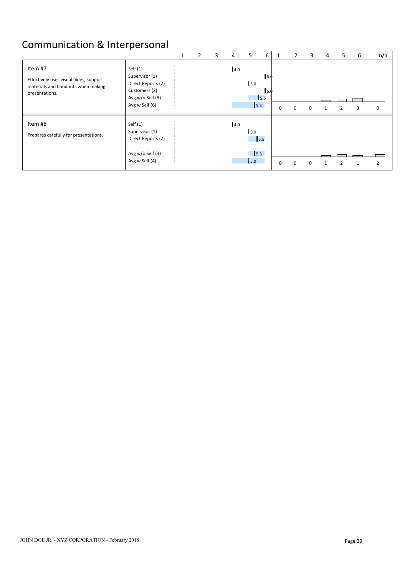# Communication & Interpersonal

|                                                                                                           |                                                                                                           |  | 3 | 4   | 5                                                   | 6                   | 1 | $\mathbf{2}$ | 3        | 4 | 5 | 6 | n/a            |
|-----------------------------------------------------------------------------------------------------------|-----------------------------------------------------------------------------------------------------------|--|---|-----|-----------------------------------------------------|---------------------|---|--------------|----------|---|---|---|----------------|
| Item #7<br>Effectively uses visual aides, support<br>materials and handouts when making<br>presentations. | Self $(1)$<br>Supervisor (1)<br>Direct Reports (2)<br>Customers (2)<br>Avg w/o Self (5)<br>Avg w Self (6) |  |   | 4.0 | 5.0<br>5.3                                          | 16.0<br>16.0<br>5.6 | 0 | $\Omega$     | n        |   |   |   | 0              |
| Item #8<br>Prepares carefully for presentations.                                                          | Self $(1)$<br>Supervisor (1)<br>Direct Reports (2)<br>Avg w/o Self (3)<br>Avg w Self (4)                  |  |   | 4.0 | 5.0<br>$\vert$ 5.5<br>$\vert$ <sub>5.3</sub><br>5.0 |                     | 0 | $\Omega$     | $\Omega$ |   |   |   | $\overline{2}$ |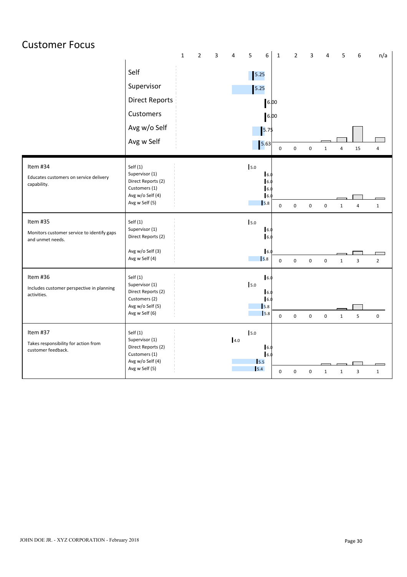| <b>Customer Focus</b>                                          |                                      |              |             |   |                |                |                              |              |             |                     |              |                |                         |                |  |
|----------------------------------------------------------------|--------------------------------------|--------------|-------------|---|----------------|----------------|------------------------------|--------------|-------------|---------------------|--------------|----------------|-------------------------|----------------|--|
|                                                                |                                      | $\mathbf{1}$ | $\mathbf 2$ | 3 | $\overline{4}$ | $\overline{5}$ | $6\phantom{a}$               | $\mathbf{1}$ | $\mathbf 2$ | 3                   | 4            | 5              | 6                       | n/a            |  |
|                                                                | Self                                 |              |             |   |                | 5.25           |                              |              |             |                     |              |                |                         |                |  |
|                                                                | Supervisor                           |              |             |   |                | 5.25           |                              |              |             |                     |              |                |                         |                |  |
|                                                                | <b>Direct Reports</b>                |              |             |   |                |                | 6.00                         |              |             |                     |              |                |                         |                |  |
|                                                                | Customers                            |              |             |   |                |                | 6.00                         |              |             |                     |              |                |                         |                |  |
|                                                                | Avg w/o Self                         |              |             |   |                |                | 5.75                         |              |             |                     |              |                |                         |                |  |
|                                                                | Avg w Self                           |              |             |   |                |                | 5.63                         | $\mathbf 0$  | $\mathbf 0$ | $\mathbf 0$         | $\mathbf{1}$ | $\overline{4}$ | 15                      | $\sqrt{4}$     |  |
| Item #34                                                       | Self $(1)$                           |              |             |   |                | 5.0            |                              |              |             |                     |              |                |                         |                |  |
| Educates customers on service delivery<br>capability.          | Supervisor (1)<br>Direct Reports (2) |              |             |   |                |                | $\vert 6.$<br>$\overline{6}$ |              |             |                     |              |                |                         |                |  |
|                                                                | Customers (1)<br>Avg w/o Self (4)    |              |             |   |                |                | $\vert$ 6.<br>$\mathsf{I}6$  |              |             |                     |              |                |                         |                |  |
|                                                                | Avg w Self (5)                       |              |             |   |                |                | 5.8                          | $\mathbf 0$  | $\pmb{0}$   | 0                   | $\mathsf 0$  | $\mathbf 1$    | $\overline{4}$          | $\mathbf{1}$   |  |
| Item #35                                                       | Self(1)                              |              |             |   |                | 5.0            |                              |              |             |                     |              |                |                         |                |  |
| Monitors customer service to identify gaps<br>and unmet needs. | Supervisor (1)<br>Direct Reports (2) |              |             |   |                |                | 6.0<br>$\vert$ 6.            |              |             |                     |              |                |                         |                |  |
|                                                                | Avg w/o Self (3)                     |              |             |   |                |                | $\overline{6}$               |              |             |                     |              |                |                         |                |  |
|                                                                | Avg w Self (4)                       |              |             |   |                |                | $\vert$ <sub>5.8</sub>       | $\mathbf 0$  | $\pmb{0}$   | $\mathsf 0$         | $\mathbf 0$  | $\mathbf 1$    | $\overline{\mathbf{3}}$ | $\overline{2}$ |  |
| Item #36                                                       | Self(1)<br>Supervisor (1)            |              |             |   |                | 5.0            | $\vert 6.$                   |              |             |                     |              |                |                         |                |  |
| Includes customer perspective in planning<br>activities.       | Direct Reports (2)<br>Customers (2)  |              |             |   |                |                | 16.<br>$\overline{6}$        |              |             |                     |              |                |                         |                |  |
|                                                                | Avg w/o Self (5)                     |              |             |   |                |                | 5.8                          |              |             |                     |              |                |                         |                |  |
|                                                                | Avg w Self (6)                       |              |             |   |                |                | 5.8                          | $\mathsf 0$  | $\pmb{0}$   | $\mathsf 0$         | $\mathbf 0$  | $\mathbf 1$    | 5                       | $\mathbf 0$    |  |
| Item #37                                                       | Self(1)<br>Supervisor (1)            |              |             |   | 4.0            | 5.0            |                              |              |             |                     |              |                |                         |                |  |
| Takes responsibility for action from<br>customer feedback.     | Direct Reports (2)<br>Customers (1)  |              |             |   |                |                | $\mathsf{I}6.$<br>6.0        |              |             |                     |              |                |                         |                |  |
|                                                                | Avg w/o Self (4)                     |              |             |   |                | 5.5            |                              |              |             |                     |              |                |                         |                |  |
|                                                                | Avg w Self (5)                       |              |             |   |                | $\vert$ 5.4    |                              | $\mathsf 0$  | $\pmb{0}$   | $\mathsf{O}\xspace$ | 1            | $\mathbf{1}$   | $\overline{\mathbf{3}}$ | $\mathbf{1}$   |  |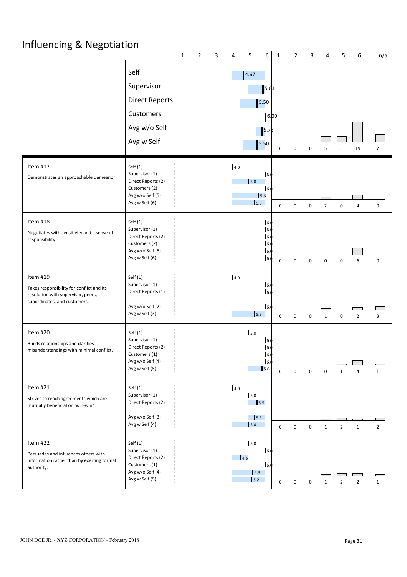| Influencing & Negotiation                                                                                                   |                                                                                                           | $\overline{2}$<br>$\mathbf{3}$<br>$\mathbf{1}$ | 5<br>6<br>4                                                            | $\mathbf{1}$        | $\overline{2}$   | 3           | 4                                  | 5<br>6         | n/a                                      |  |
|-----------------------------------------------------------------------------------------------------------------------------|-----------------------------------------------------------------------------------------------------------|------------------------------------------------|------------------------------------------------------------------------|---------------------|------------------|-------------|------------------------------------|----------------|------------------------------------------|--|
|                                                                                                                             | Self<br>Supervisor<br><b>Direct Reports</b><br>Customers<br>Avg w/o Self<br>Avg w Self                    |                                                | 4.67<br>5.83<br>5.50<br>$\left  \frac{5.78}{2} \right $<br>5.50        | 6.00<br>$\mathbf 0$ | $\mathbf 0$      | $\pmb{0}$   | 5<br>5                             | 19             | $\overline{7}$                           |  |
| Item #17<br>Demonstrates an approachable demeanor.                                                                          | Self(1)<br>Supervisor (1)<br>Direct Reports (2)<br>Customers (2)<br>Avg w/o Self (5)<br>Avg w Self (6)    |                                                | 4.0<br>6.0<br>$\mathsf{I}$ <sub>5.0</sub><br>6.0<br>5.6<br>$\vert$ 5.3 | $\mathbf 0$         | $\mathbf 0$      | $\pmb{0}$   | $\overline{2}$<br>$\boldsymbol{0}$ | 4              | $\mathbf 0$                              |  |
| Item #18<br>Negotiates with sensitivity and a sense of<br>responsibility.                                                   | Self(1)<br>Supervisor (1)<br>Direct Reports (2)<br>Customers (2)<br>Avg w/o Self (5)<br>Avg w Self (6)    |                                                | 6.<br>$\mathsf{I}6.$<br>6.<br>6.0                                      | $\mathbf 0$         | $\mathbf 0$      | 0           | $\pmb{0}$<br>$\boldsymbol{0}$      | 6              | $\mathbf 0$                              |  |
| Item #19<br>Takes responsibility for conflict and its<br>resolution with supervisor, peers,<br>subordinates, and customers. | Self(1)<br>Supervisor (1)<br>Direct Reports (1)<br>Avg w/o Self (2)<br>Avg w Self (3)                     |                                                | 4.0<br>6.0<br>16.0<br>$\vert$ 6.<br>$\vert$ 5.3                        | $\pmb{0}$           | $\mathsf 0$      | $\mathbf 0$ | $\mathbf{1}$<br>$\pmb{0}$          | $\overline{2}$ | 3                                        |  |
| Item #20<br>Builds relationships and clarifies<br>misunderstandings with minimal conflict.                                  | Self(1)<br>Supervisor (1)<br>Direct Reports (2)<br>Customers (1)<br>Avg w/o Self (4)<br>Avg w Self (5)    |                                                | 5.0<br>16.0<br>16.<br>6.0<br>$\vert 6.$<br>$\vert$ <sub>5.8</sub>      | $\mathbf 0$         | $\mathbf 0$      | $\mathbf 0$ | $\mathbf 0$<br>$\mathbf{1}$        | $\overline{4}$ | $\overline{\phantom{0}}$<br>$\mathbf{1}$ |  |
| Item #21<br>Strives to reach agreements which are<br>mutually beneficial or "win-win".                                      | Self(1)<br>Supervisor (1)<br>Direct Reports (2)<br>Avg w/o Self (3)<br>Avg w Self (4)                     |                                                | 4.0<br>5.0<br>$\frac{1}{5.5}$<br>5.3<br>$\vert$ 5.0                    | $\mathbf 0$         | $\mathsf 0$      | 0           | $\overline{2}$<br>$\mathbf{1}$     | $\mathbf{1}$   | $\overline{2}$                           |  |
| Item #22<br>Persuades and influences others with<br>information rather than by exerting formal<br>authority.                | Self $(1)$<br>Supervisor (1)<br>Direct Reports (2)<br>Customers (1)<br>Avg w/o Self (4)<br>Avg w Self (5) |                                                | 5.0<br>16.<br>4.5<br>6.0<br>5.3<br>5.2                                 | $\boldsymbol{0}$    | $\boldsymbol{0}$ | 0           | $\overline{2}$<br>1                | $\overline{2}$ | $\mathbf{1}$                             |  |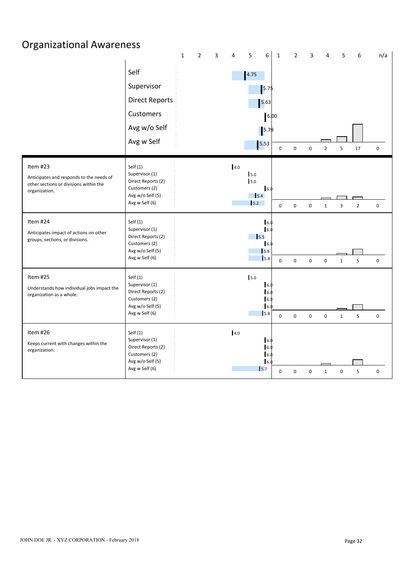| <b>Organizational Awareness</b>                                                                                 |                                                                                                           |              |                |   |     |                                                                                                  |                                     |                               |                  |                     |                |                |                  |  |
|-----------------------------------------------------------------------------------------------------------------|-----------------------------------------------------------------------------------------------------------|--------------|----------------|---|-----|--------------------------------------------------------------------------------------------------|-------------------------------------|-------------------------------|------------------|---------------------|----------------|----------------|------------------|--|
|                                                                                                                 | Self<br>Supervisor<br><b>Direct Reports</b><br>Customers<br>Avg w/o Self<br>Avg w Self                    | $\mathbf{1}$ | $\overline{2}$ | 3 | 4   | 5<br>6<br>4.75<br>5.75<br>5.63<br>5.79<br>5.53                                                   | $\mathbf{1}$<br>6.00<br>$\mathbf 0$ | $\overline{2}$<br>$\mathbf 0$ | 3<br>$\mathbf 0$ | 4<br>$\overline{2}$ | 5<br>5         | 6<br>17        | n/a<br>0         |  |
| Item #23<br>Anticipates and responds to the needs of<br>other sections or divisions within the<br>organization. | Self $(1)$<br>Supervisor (1)<br>Direct Reports (2)<br>Customers (2)<br>Avg w/o Self (5)<br>Avg w Self (6) |              |                |   | 4.0 | 5.0<br>5.0<br>6.0<br>5.4<br>5.2                                                                  | $\mathbf 0$                         | $\mathbf 0$                   | $\mathsf 0$      | $\mathbf{1}$        | $\overline{3}$ | $\overline{2}$ | $\boldsymbol{0}$ |  |
| Item #24<br>Anticipates impact of actions on other<br>groups, sections, or divisions.                           | Self $(1)$<br>Supervisor (1)<br>Direct Reports (2)<br>Customers (2)<br>Avg w/o Self (5)<br>Avg w Self (6) |              |                |   |     | $\vert 6.$<br>$\vert$ 6.<br>$\frac{1}{5.5}$<br>16.0<br>$\vert$ <sub>5.8</sub><br>$\mathsf{I}5.8$ | $\mathbf 0$                         | $\mathbf{0}$                  | $\mathbf{0}$     | $\mathbf 0$         | $\mathbf{1}$   | 5              | $\boldsymbol{0}$ |  |
| Item #25<br>Understands how individual jobs impact the<br>organization as a whole.                              | Self $(1)$<br>Supervisor (1)<br>Direct Reports (2)<br>Customers (2)<br>Avg w/o Self (5)<br>Avg w Self (6) |              |                |   |     | 5.0<br>$\overline{6}$<br>$\vert 6.$<br>6.<br>$\vert$ 6.<br>5.8                                   | $\mathbf 0$                         | $\mathbf 0$                   | $\mathbf 0$      | $\boldsymbol{0}$    | $\mathbf{1}$   | 5              | $\boldsymbol{0}$ |  |
| Item #26<br>Keeps current with changes within the<br>organization.                                              | Self $(1)$<br>Supervisor (1)<br>Direct Reports (2)<br>Customers (2)<br>Avg w/o Self (5)<br>Avg w Self (6) |              |                |   | 4.0 | 16.0<br>$\vert$ 6.<br>6.<br>$\mathsf{I}6.$<br>$\vert$ <sub>5.7</sub>                             | $\mathbf 0$                         | $\pmb{0}$                     | $\mathbf 0$      | $\mathbf{1}$        | 0              | 5              | $\mathsf 0$      |  |

## JOHN DOE JR. - XYZ CORPORATION - February 2018 Page 32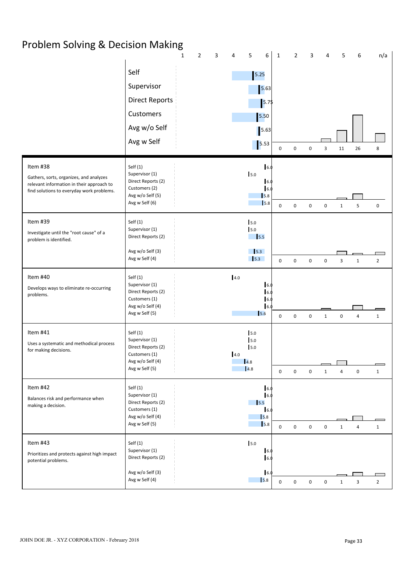# Problem Solving & Decision Making

|                                                                                                                                               |                                                                                                         | $\mathbf{1}$ | $\overline{2}$ | 3 | 4   | 5                                                               | 6<br>$\mathbf{1}$                                  |                            | $\overline{2}$ | ς           |              |              | 6              | n/a                                        |  |
|-----------------------------------------------------------------------------------------------------------------------------------------------|---------------------------------------------------------------------------------------------------------|--------------|----------------|---|-----|-----------------------------------------------------------------|----------------------------------------------------|----------------------------|----------------|-------------|--------------|--------------|----------------|--------------------------------------------|--|
|                                                                                                                                               | Self<br>Supervisor<br><b>Direct Reports</b><br>Customers<br>Avg w/o Self<br>Avg w Self                  |              |                |   |     | 5.25<br>5.63<br>5.50<br>5.63<br>$\vert$ 5.53                    | 5.75                                               | $\mathbf 0$<br>0           |                | $\Omega$    | 3            | 11           | 26             | 8                                          |  |
| Item #38<br>Gathers, sorts, organizes, and analyzes<br>relevant information in their approach to<br>find solutions to everyday work problems. | Self(1)<br>Supervisor (1)<br>Direct Reports (2)<br>Customers (2)<br>Avg w/o Self (5)<br>Avg w Self (6)  |              |                |   |     | 5.0                                                             | 6.<br>6.0<br>6.<br>5.8<br>$\vert$ <sub>5.8</sub>   | $\mathbf 0$<br>$\mathbf 0$ |                | $\mathbf 0$ | $\pmb{0}$    | $\mathbf{1}$ | 5              | $\pmb{0}$                                  |  |
| Item #39<br>Investigate until the "root cause" of a<br>problem is identified.                                                                 | Self(1)<br>Supervisor (1)<br>Direct Reports (2)<br>Avg w/o Self (3)<br>Avg w Self (4)                   |              |                |   |     | 5.0<br>5.0<br>$\frac{1}{5.5}$<br>$\frac{1}{5.3}$<br>$\vert$ 5.3 |                                                    | $\mathbf 0$<br>$\mathbf 0$ |                | $\mathbf 0$ | $\pmb{0}$    | 3            | $\mathbf{1}$   | $\overline{2}$                             |  |
| Item #40<br>Develops ways to eliminate re-occurring<br>problems.                                                                              | Self (1)<br>Supervisor (1)<br>Direct Reports (2)<br>Customers (1)<br>Avg w/o Self (4)<br>Avg w Self (5) |              |                |   | 4.0 | 5.6                                                             | $\vert 6.$<br>6.<br>6.<br>6.                       | $\mathbf 0$                | $\mathbf 0$    | $\mathbf 0$ | $\mathbf{1}$ | $\mathbf 0$  | 4              | $\mathbf{1}$                               |  |
| Item #41<br>Uses a systematic and methodical process<br>for making decisions.                                                                 | Self (1)<br>Supervisor (1)<br>Direct Reports (2)<br>Customers (1)<br>Avg w/o Self (4)<br>Avg w Self (5) |              |                |   | 4.0 | 5.0<br>5.0<br>5.0<br>$\vert 4.8$<br>4.8                         |                                                    | $\mathbf 0$                | $\mathbf 0$    | $\mathbf 0$ | $\mathbf{1}$ | 4            | $\mathbf 0$    | $\mathbf{1}$                               |  |
| Item #42<br>Balances risk and performance when<br>making a decision.                                                                          | Self (1)<br>Supervisor (1)<br>Direct Reports (2)<br>Customers (1)<br>Avg w/o Self (4)<br>Avg w Self (5) |              |                |   |     | $\frac{1}{5.5}$                                                 | 6.<br>6.0<br>6.0<br>5.8<br>$\vert$ <sub>5.8</sub>  | $\mathbf 0$<br>$\mathbf 0$ |                | $\mathbf 0$ | $\mathbf 0$  | $\mathbf{1}$ | $\overline{4}$ | $\mathbf{1}$                               |  |
| Item #43<br>Prioritizes and protects against high impact<br>potential problems.                                                               | Self(1)<br>Supervisor (1)<br>Direct Reports (2)<br>Avg w/o Self (3)<br>Avg w Self (4)                   |              |                |   |     | 5.0                                                             | $\vert 6.$<br>$\vert 6.$<br>6.0<br>$\mathsf{I}5.8$ | $\pmb{0}$                  | $\mathsf 0$    | $\mathbf 0$ | $\pmb{0}$    | $\mathbf{1}$ | $\mathbf{3}$   | $\overline{\phantom{a}}$<br>$\overline{2}$ |  |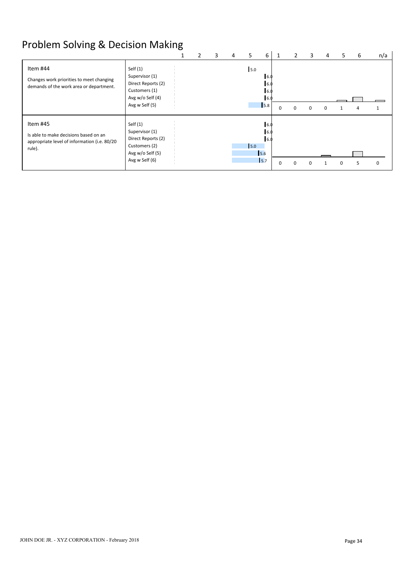# Problem Solving & Decision Making

|                                                                                                             |                                                                                                           |  | 3 | 4 | 5   | 6                                                  |             |          | 3        | 4 | כ | 6 | n/a |
|-------------------------------------------------------------------------------------------------------------|-----------------------------------------------------------------------------------------------------------|--|---|---|-----|----------------------------------------------------|-------------|----------|----------|---|---|---|-----|
| Item #44<br>Changes work priorities to meet changing<br>demands of the work area or department.             | Self $(1)$<br>Supervisor (1)<br>Direct Reports (2)<br>Customers (1)<br>Avg w/o Self (4)<br>Avg w Self (5) |  |   |   | 5.0 | 6.<br>-6.0<br><sup>6.</sup><br>5.8                 | $\mathbf 0$ | $\Omega$ | $\Omega$ |   |   |   |     |
| Item #45<br>Is able to make decisions based on an<br>appropriate level of information (i.e. 80/20<br>rule). | Self $(1)$<br>Supervisor (1)<br>Direct Reports (2)<br>Customers (2)<br>Avg w/o Self (5)<br>Avg w Self (6) |  |   |   | 5.0 | 6.0<br>6.0<br>6.0<br>5.6<br>$\vert$ <sub>5.7</sub> | $\Omega$    | $\Omega$ |          |   | n | 5 | 0   |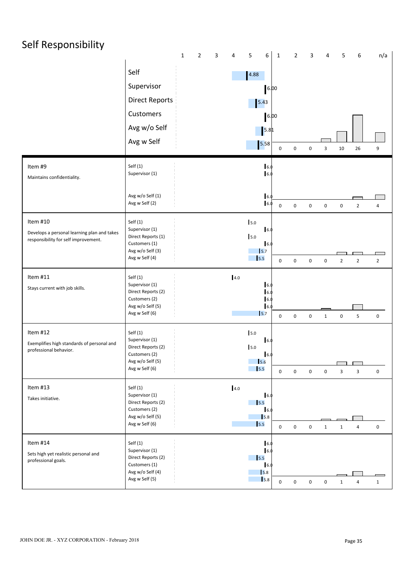| Self Responsibility                                                                             |                                                                                                           | $\mathbf{1}$<br>$\overline{2}$ | $\mathbf{3}$<br>4 | $\boldsymbol{6}$<br>5                                                                         | $\mathbf{1}$     | $\overline{2}$      | $\mathbf{3}$     | $\overline{4}$          | 5              | 6              | n/a            |  |
|-------------------------------------------------------------------------------------------------|-----------------------------------------------------------------------------------------------------------|--------------------------------|-------------------|-----------------------------------------------------------------------------------------------|------------------|---------------------|------------------|-------------------------|----------------|----------------|----------------|--|
|                                                                                                 | Self<br>Supervisor<br><b>Direct Reports</b><br>Customers<br>Avg w/o Self<br>Avg w Self                    |                                |                   | 4.88<br>6.00<br>$\begin{array}{ c c }\n 5.43 \\ \hline\n\end{array}$<br>6.00<br> 5.8 <br>5.58 | $\mathbf 0$      | $\mathsf 0$         | $\mathbf 0$      | $\overline{\mathbf{3}}$ | 10             | 26             | 9              |  |
| Item #9<br>Maintains confidentiality.                                                           | Self(1)<br>Supervisor (1)<br>Avg w/o Self (1)<br>Avg w Self (2)                                           |                                |                   | 6.0<br>16.0<br>6.0<br>16.0                                                                    | $\mathbf 0$      | $\mathsf{O}\xspace$ | $\mathbf 0$      | $\mathbf 0$             | $\mathbf 0$    | $\overline{2}$ | $\overline{a}$ |  |
| Item #10<br>Develops a personal learning plan and takes<br>responsibility for self improvement. | Self(1)<br>Supervisor (1)<br>Direct Reports (1)<br>Customers (1)<br>Avg w/o Self (3)<br>Avg w Self (4)    |                                |                   | 5.0<br>$\vert$ 6.<br>5.0<br>16.0<br>$\vert$ <sub>5.7</sub><br>$\vert$ 5.5                     | $\mathbf 0$      | $\mathsf 0$         | $\mathbf 0$      | $\boldsymbol{0}$        | $\overline{2}$ | $\overline{2}$ | $\overline{2}$ |  |
| Item #11<br>Stays current with job skills.                                                      | Self(1)<br>Supervisor (1)<br>Direct Reports (2)<br>Customers (2)<br>Avg w/o Self (5)<br>Avg w Self (6)    |                                | 4.0               | 16.0<br>16.0<br>16.0<br>16.0<br>$\mathsf{I}$ <sub>5.7</sub>                                   | $\mathbf 0$      | $\mathsf 0$         | $\mathbf 0$      | $\mathbf{1}$            | $\mathsf 0$    | 5              | $\mathbf 0$    |  |
| Item #12<br>Exemplifies high standards of personal and<br>professional behavior.                | Self(1)<br>Supervisor (1)<br>Direct Reports (2)<br>Customers (2)<br>Avg w/o Self (5)<br>Avg w Self (6)    |                                |                   | 5.0<br>16.0<br>5.0<br>6.0<br>$\vert$ 5.6<br>$\vert$ 5.5                                       | $\boldsymbol{0}$ | $\mathsf 0$         | $\mathbf 0$      | $\mathbf 0$             | $\mathbf{3}$   | $\mathbf{3}$   | 0              |  |
| Item #13<br>Takes initiative.                                                                   | Self $(1)$<br>Supervisor (1)<br>Direct Reports (2)<br>Customers (2)<br>Avg w/o Self (5)<br>Avg w Self (6) |                                | 4.0               | 16.0<br>15.5<br>16.0<br>$\vert$ <sub>5.8</sub><br>$\vert$ 5.5                                 | $\mathbf 0$      | $\mathbf 0$         | $\boldsymbol{0}$ | $\mathbf{1}$            | $\mathbf{1}$   | 4              | $\mathbf 0$    |  |
| Item #14<br>Sets high yet realistic personal and<br>professional goals.                         | Self $(1)$<br>Supervisor (1)<br>Direct Reports (2)<br>Customers (1)<br>Avg w/o Self (4)<br>Avg w Self (5) |                                |                   | 6.0<br>16.0<br>$\vert$ <sub>5.5</sub><br>16.0<br>$\vert$ 5.8<br>$\sqrt{5.8}$                  | $\mathbf 0$      | $\pmb{0}$           | $\,0\,$          | $\mathbf 0$             | $\mathbf{1}$   | $\overline{4}$ | $\mathbf{1}$   |  |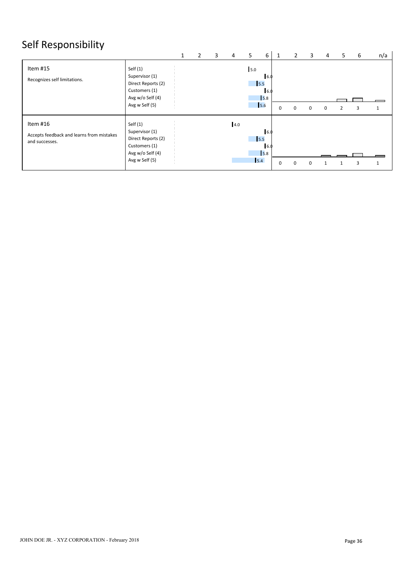# Self Responsibility

|                                                                         |                                                                                                           | 1 | $\overline{2}$ | 3 | $\overline{4}$ | 5                      | 6                                          |   |             | 3           | 4 | 5              | -6 | n/a          |
|-------------------------------------------------------------------------|-----------------------------------------------------------------------------------------------------------|---|----------------|---|----------------|------------------------|--------------------------------------------|---|-------------|-------------|---|----------------|----|--------------|
| Item #15<br>Recognizes self limitations.                                | Self $(1)$<br>Supervisor (1)<br>Direct Reports (2)<br>Customers (1)<br>Avg w/o Self (4)<br>Avg w Self (5) |   |                |   |                | 5.0<br>$\frac{1}{5.5}$ | 6.0<br>$\vert 6.0$<br>$\sqrt{5.8}$<br>15.6 | 0 | $\mathbf 0$ | $\mathbf 0$ | 0 | $\overline{2}$ | 3  | $\mathbf{1}$ |
| Item #16<br>Accepts feedback and learns from mistakes<br>and successes. | Self $(1)$<br>Supervisor (1)<br>Direct Reports (2)<br>Customers (1)<br>Avg w/o Self (4)<br>Avg w Self (5) |   |                |   | 4.0            | $\frac{1}{5.5}$<br>5.4 | 6.0<br>16.0<br>$\sqrt{5.8}$                | 0 | $\Omega$    | $\Omega$    |   |                |    | 1            |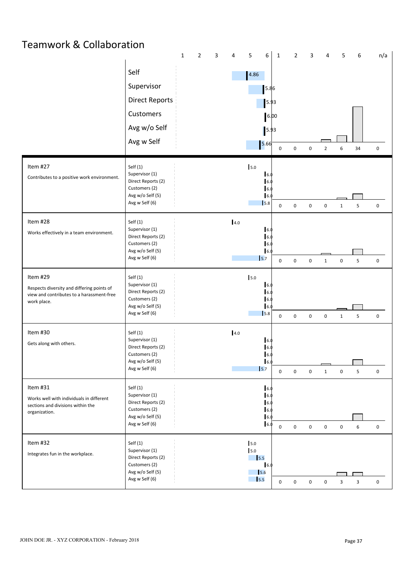## Teamwork & Collaboration

|                                                                                                                    |                                                                                                           | 1 | $\mathcal{P}$ | 3 | 4       | 5                                    | 6                                                     | $\mathbf{1}$     | $\overline{2}$ | 3           |                  | 5                       | 6                       | n/a         |  |
|--------------------------------------------------------------------------------------------------------------------|-----------------------------------------------------------------------------------------------------------|---|---------------|---|---------|--------------------------------------|-------------------------------------------------------|------------------|----------------|-------------|------------------|-------------------------|-------------------------|-------------|--|
|                                                                                                                    | Self<br>Supervisor<br><b>Direct Reports</b>                                                               |   |               |   |         | 4.86                                 | 5.86                                                  |                  |                |             |                  |                         |                         |             |  |
|                                                                                                                    | Customers<br>Avg w/o Self                                                                                 |   |               |   |         |                                      | 5.93<br>6.00<br>5.93                                  |                  |                |             |                  |                         |                         |             |  |
|                                                                                                                    | Avg w Self                                                                                                |   |               |   |         |                                      | 5.66                                                  | 0                | 0              | $\mathbf 0$ | $\overline{2}$   | 6                       | 34                      | $\mathbf 0$ |  |
| Item #27<br>Contributes to a positive work environment.                                                            | Self(1)<br>Supervisor (1)<br>Direct Reports (2)<br>Customers (2)<br>Avg w/o Self (5)<br>Avg w Self (6)    |   |               |   |         | 5.0                                  | 6.<br>I 6.<br>I 6.<br>6.<br>5.8                       | $\mathbf 0$      | $\mathsf 0$    | $\pmb{0}$   | $\pmb{0}$        | $\mathbf{1}$            | 5                       | $\mathbf 0$ |  |
| Item #28<br>Works effectively in a team environment.                                                               | Self(1)<br>Supervisor (1)<br>Direct Reports (2)<br>Customers (2)<br>Avg w/o Self (5)<br>Avg w Self (6)    |   |               |   | 4.0     |                                      | 16.0<br>6.<br>6.0<br>$\vert$ 6.<br>$\sqrt{5.7}$       | 0                | $\mathbf 0$    | 0           | $\mathbf{1}$     | 0                       | 5                       | $\mathbf 0$ |  |
| Item #29<br>Respects diversity and differing points of<br>view and contributes to a harassment-free<br>work place. | Self(1)<br>Supervisor (1)<br>Direct Reports (2)<br>Customers (2)<br>Avg w/o Self (5)<br>Avg w Self (6)    |   |               |   |         | 5.0                                  | 6.0<br>6.<br>16.<br>6.<br>$\mathsf{I}$ <sub>5.8</sub> | $\boldsymbol{0}$ | $\mathbf 0$    | $\mathbf 0$ | $\pmb{0}$        | $\mathbf{1}$            | 5                       | $\mathbf 0$ |  |
| Item #30<br>Gets along with others.                                                                                | Self(1)<br>Supervisor (1)<br>Direct Reports (2)<br>Customers (2)<br>Avg w/o Self (5)<br>Avg w Self (6)    |   |               |   | $4.0\,$ |                                      | 16.0<br>6.0<br>6.0<br>6.0<br>$\vert$ <sub>5.7</sub>   | $\mathbf 0$      | $\mathbf 0$    | $\mathbf 0$ | $\mathbf{1}$     | $\boldsymbol{0}$        | 5                       | $\mathbf 0$ |  |
| Item #31<br>Works well with individuals in different<br>sections and divisions within the<br>organization.         | Self(1)<br>Supervisor (1)<br>Direct Reports (2)<br>Customers (2)<br>Avg w/o Self (5)<br>Avg w Self (6)    |   |               |   |         |                                      | 6.0<br>6.<br>6.0<br>6.0<br>6.<br>6.0                  | $\boldsymbol{0}$ | $\mathbf 0$    | $\mathsf 0$ | $\boldsymbol{0}$ | $\pmb{0}$               | 6                       | $\mathbf 0$ |  |
| Item #32<br>Integrates fun in the workplace.                                                                       | Self $(1)$<br>Supervisor (1)<br>Direct Reports (2)<br>Customers (2)<br>Avg w/o Self (5)<br>Avg w Self (6) |   |               |   |         | 5.0<br>5.0<br>$\frac{1}{5.5}$<br>5.5 | 6.0<br>5.6                                            | $\boldsymbol{0}$ | $\mathsf 0$    | $\mathbf 0$ | $\mathbf 0$      | $\overline{\mathbf{3}}$ | $\overline{\mathbf{3}}$ | $\mathbf 0$ |  |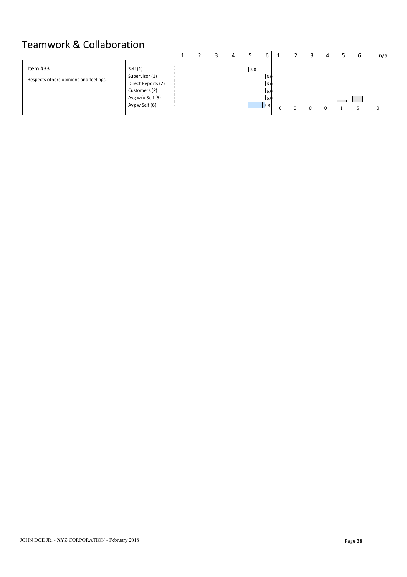# Teamwork & Collaboration

|                                        |                                      |  |  |     | h                 |  |  |  | n/a |
|----------------------------------------|--------------------------------------|--|--|-----|-------------------|--|--|--|-----|
| Item #33                               | Self $(1)$                           |  |  | 5.0 |                   |  |  |  |     |
| Respects others opinions and feelings. | Supervisor (1)<br>Direct Reports (2) |  |  |     | 6.0<br>6.0        |  |  |  |     |
|                                        | Customers (2)<br>Avg w/o Self (5)    |  |  |     | 6.0<br><b>6.0</b> |  |  |  |     |
|                                        | Avg w Self (6)                       |  |  |     | 5.8               |  |  |  |     |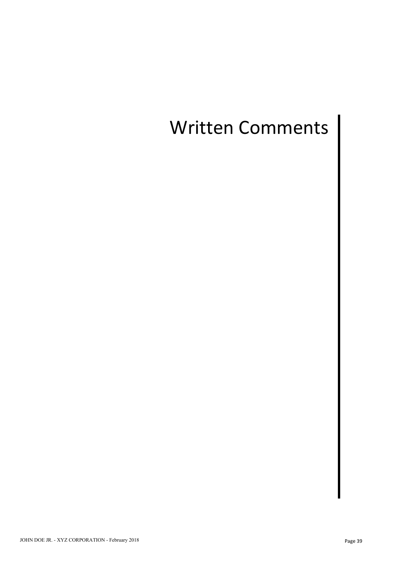# Written Comments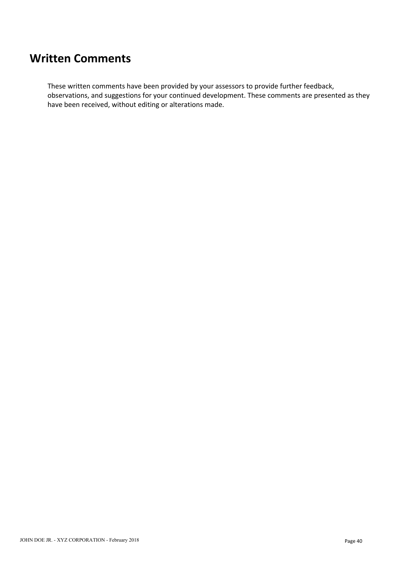## **Written Comments**

These written comments have been provided by your assessors to provide further feedback, observations, and suggestions for your continued development. These comments are presented as they have been received, without editing or alterations made.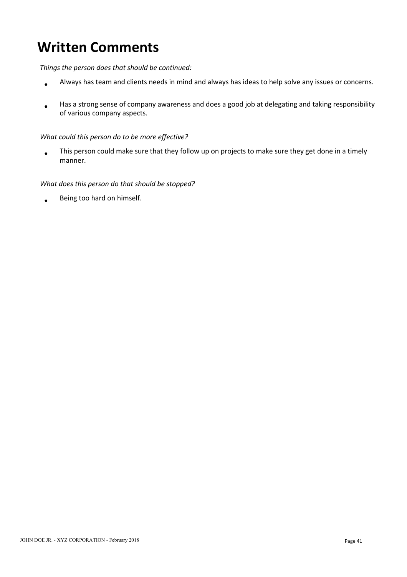# **Written Comments**

*Things the person does that should be continued:*

- Always has team and clients needs in mind and always has ideas to help solve any issues or concerns.  $\blacktriangle$
- Has a strong sense of company awareness and does a good job at delegating and taking responsibility  $\bullet$ of various company aspects.

#### *What could this person do to be more effective?*

This person could make sure that they follow up on projects to make sure they get done in a timely  $\bullet$ manner.

#### *What does this person do that should be stopped?*

Being too hard on himself.  $\bullet$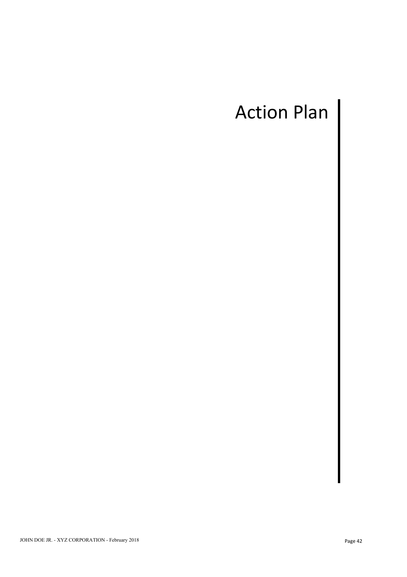# Action Plan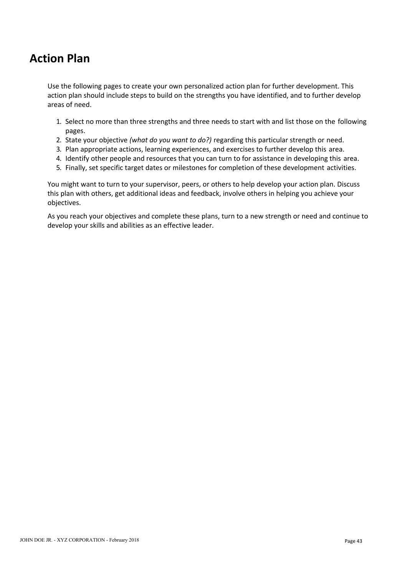# **Action Plan**

Use the following pages to create your own personalized action plan for further development. This action plan should include steps to build on the strengths you have identified, and to further develop areas of need.

- 1. Select no more than three strengths and three needs to start with and list those on the following pages.
- 2. State your objective *(what do you want to do?)* regarding this particular strength or need.
- 3. Plan appropriate actions, learning experiences, and exercises to further develop this area.
- 4. Identify other people and resources that you can turn to for assistance in developing this area.
- 5. Finally, set specific target dates or milestones for completion of these development activities.

You might want to turn to your supervisor, peers, or others to help develop your action plan. Discuss this plan with others, get additional ideas and feedback, involve others in helping you achieve your objectives.

As you reach your objectives and complete these plans, turn to a new strength or need and continue to develop your skills and abilities as an effective leader.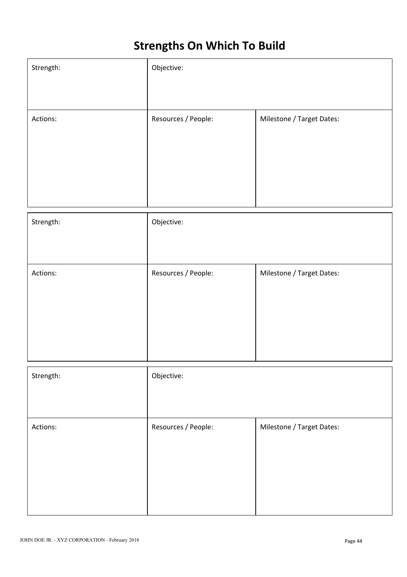# **Strengths On Which To Build**

| Strength: | Objective:          |                           |
|-----------|---------------------|---------------------------|
| Actions:  | Resources / People: | Milestone / Target Dates: |
|           |                     |                           |
|           |                     |                           |
|           |                     |                           |
| Strength: | Objective:          |                           |
|           |                     |                           |
| Actions:  | Resources / People: | Milestone / Target Dates: |
|           |                     |                           |
|           |                     |                           |
|           |                     |                           |
| Strength: | Objective:          |                           |
|           |                     |                           |
| Actions:  | Resources / People: | Milestone / Target Dates: |
|           |                     |                           |
|           |                     |                           |
|           |                     |                           |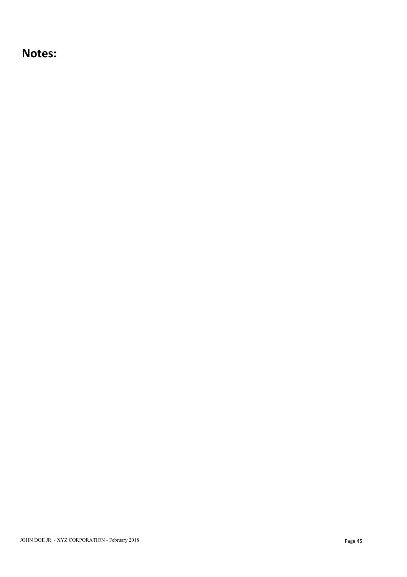## **Notes:**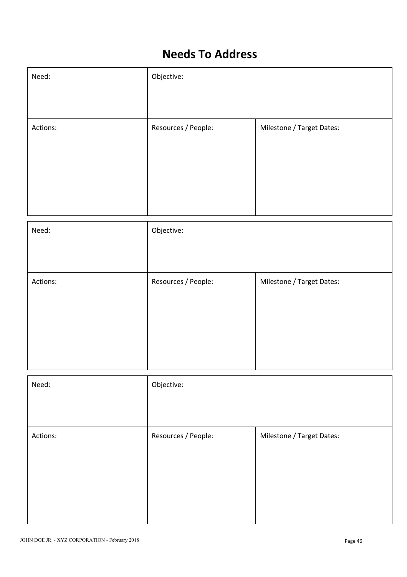# **Needs To Address**

| Need:    | Objective:          |                           |
|----------|---------------------|---------------------------|
|          |                     |                           |
| Actions: | Resources / People: | Milestone / Target Dates: |
|          |                     |                           |
|          |                     |                           |
|          |                     |                           |
|          |                     |                           |

| Need:    | Objective:          |                           |
|----------|---------------------|---------------------------|
|          |                     |                           |
| Actions: | Resources / People: | Milestone / Target Dates: |
|          |                     |                           |
|          |                     |                           |
|          |                     |                           |
| Need:    | Objective:          |                           |
|          |                     |                           |
|          |                     |                           |
| Actions: | Resources / People: | Milestone / Target Dates: |
|          |                     |                           |
|          |                     |                           |